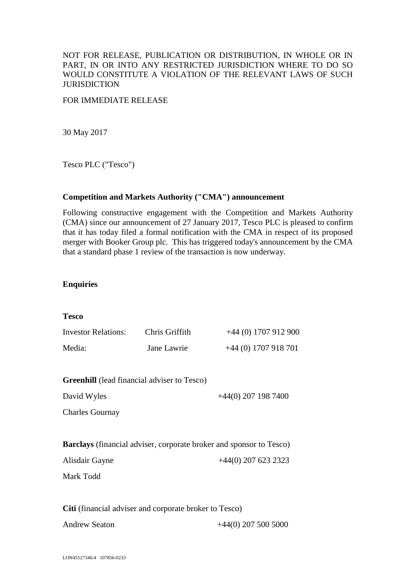### NOT FOR RELEASE, PUBLICATION OR DISTRIBUTION, IN WHOLE OR IN PART, IN OR INTO ANY RESTRICTED JURISDICTION WHERE TO DO SO WOULD CONSTITUTE A VIOLATION OF THE RELEVANT LAWS OF SUCH **JURISDICTION**

#### FOR IMMEDIATE RELEASE

30 May 2017

Tesco PLC ("Tesco")

#### **Competition and Markets Authority ("CMA") announcement**

Following constructive engagement with the Competition and Markets Authority (CMA) since our announcement of 27 January 2017, Tesco PLC is pleased to confirm that it has today filed a formal notification with the CMA in respect of its proposed merger with Booker Group plc. This has triggered today's announcement by the CMA that a standard phase 1 review of the transaction is now underway.

#### **Enquiries**

| <b>Tesco</b>                                           |                |                                                                            |
|--------------------------------------------------------|----------------|----------------------------------------------------------------------------|
| <b>Investor Relations:</b>                             | Chris Griffith | $+44$ (0) 1707 912 900                                                     |
| Media:                                                 | Jane Lawrie    | $+44$ (0) 1707 918 701                                                     |
| <b>Greenhill</b> (lead financial adviser to Tesco)     |                |                                                                            |
| David Wyles                                            |                | $+44(0)$ 207 198 7400                                                      |
| <b>Charles Gournay</b>                                 |                |                                                                            |
|                                                        |                | <b>Barclays</b> (financial adviser, corporate broker and sponsor to Tesco) |
| Alisdair Gayne                                         |                | $+44(0)$ 207 623 2323                                                      |
| Mark Todd                                              |                |                                                                            |
| Citi (financial adviser and corporate broker to Tesco) |                |                                                                            |
| <b>Andrew Seaton</b>                                   |                | $+44(0)$ 207 500 5000                                                      |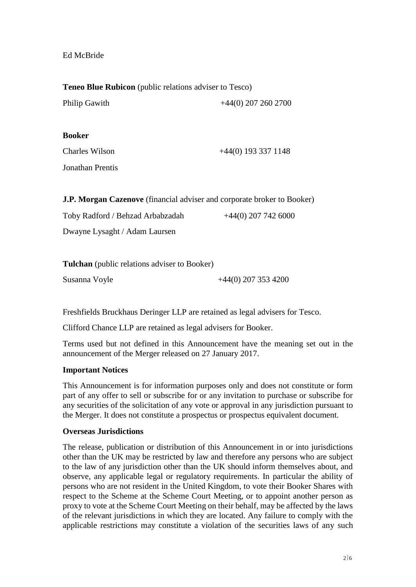## Ed McBride

**Teneo Blue Rubicon** (public relations adviser to Tesco)

| <b>Philip Gawith</b> | $+44(0)$ 207 260 2700 |
|----------------------|-----------------------|
| <b>Booker</b>        |                       |
| Charles Wilson       | $+44(0)$ 193 337 1148 |
| Jonathan Prentis     |                       |
|                      |                       |

**J.P. Morgan Cazenove** (financial adviser and corporate broker to Booker)

| Toby Radford / Behzad Arbabzadah | $+44(0)$ 207 742 6000 |
|----------------------------------|-----------------------|
|                                  |                       |

Dwayne Lysaght / Adam Laursen

| <b>Tulchan</b> (public relations adviser to Booker) |                       |
|-----------------------------------------------------|-----------------------|
| Susanna Voyle                                       | $+44(0)$ 207 353 4200 |

Freshfields Bruckhaus Deringer LLP are retained as legal advisers for Tesco.

Clifford Chance LLP are retained as legal advisers for Booker.

Terms used but not defined in this Announcement have the meaning set out in the announcement of the Merger released on 27 January 2017.

## **Important Notices**

This Announcement is for information purposes only and does not constitute or form part of any offer to sell or subscribe for or any invitation to purchase or subscribe for any securities of the solicitation of any vote or approval in any jurisdiction pursuant to the Merger. It does not constitute a prospectus or prospectus equivalent document.

#### **Overseas Jurisdictions**

The release, publication or distribution of this Announcement in or into jurisdictions other than the UK may be restricted by law and therefore any persons who are subject to the law of any jurisdiction other than the UK should inform themselves about, and observe, any applicable legal or regulatory requirements. In particular the ability of persons who are not resident in the United Kingdom, to vote their Booker Shares with respect to the Scheme at the Scheme Court Meeting, or to appoint another person as proxy to vote at the Scheme Court Meeting on their behalf, may be affected by the laws of the relevant jurisdictions in which they are located. Any failure to comply with the applicable restrictions may constitute a violation of the securities laws of any such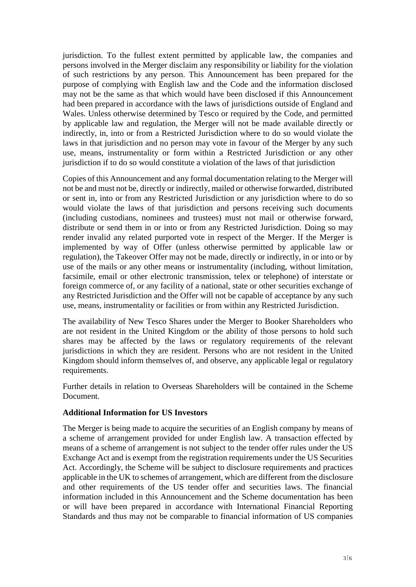jurisdiction. To the fullest extent permitted by applicable law, the companies and persons involved in the Merger disclaim any responsibility or liability for the violation of such restrictions by any person. This Announcement has been prepared for the purpose of complying with English law and the Code and the information disclosed may not be the same as that which would have been disclosed if this Announcement had been prepared in accordance with the laws of jurisdictions outside of England and Wales. Unless otherwise determined by Tesco or required by the Code, and permitted by applicable law and regulation, the Merger will not be made available directly or indirectly, in, into or from a Restricted Jurisdiction where to do so would violate the laws in that jurisdiction and no person may vote in favour of the Merger by any such use, means, instrumentality or form within a Restricted Jurisdiction or any other jurisdiction if to do so would constitute a violation of the laws of that jurisdiction

Copies of this Announcement and any formal documentation relating to the Merger will not be and must not be, directly or indirectly, mailed or otherwise forwarded, distributed or sent in, into or from any Restricted Jurisdiction or any jurisdiction where to do so would violate the laws of that jurisdiction and persons receiving such documents (including custodians, nominees and trustees) must not mail or otherwise forward, distribute or send them in or into or from any Restricted Jurisdiction. Doing so may render invalid any related purported vote in respect of the Merger. If the Merger is implemented by way of Offer (unless otherwise permitted by applicable law or regulation), the Takeover Offer may not be made, directly or indirectly, in or into or by use of the mails or any other means or instrumentality (including, without limitation, facsimile, email or other electronic transmission, telex or telephone) of interstate or foreign commerce of, or any facility of a national, state or other securities exchange of any Restricted Jurisdiction and the Offer will not be capable of acceptance by any such use, means, instrumentality or facilities or from within any Restricted Jurisdiction.

The availability of New Tesco Shares under the Merger to Booker Shareholders who are not resident in the United Kingdom or the ability of those persons to hold such shares may be affected by the laws or regulatory requirements of the relevant jurisdictions in which they are resident. Persons who are not resident in the United Kingdom should inform themselves of, and observe, any applicable legal or regulatory requirements.

Further details in relation to Overseas Shareholders will be contained in the Scheme Document.

#### **Additional Information for US Investors**

The Merger is being made to acquire the securities of an English company by means of a scheme of arrangement provided for under English law. A transaction effected by means of a scheme of arrangement is not subject to the tender offer rules under the US Exchange Act and is exempt from the registration requirements under the US Securities Act. Accordingly, the Scheme will be subject to disclosure requirements and practices applicable in the UK to schemes of arrangement, which are different from the disclosure and other requirements of the US tender offer and securities laws. The financial information included in this Announcement and the Scheme documentation has been or will have been prepared in accordance with International Financial Reporting Standards and thus may not be comparable to financial information of US companies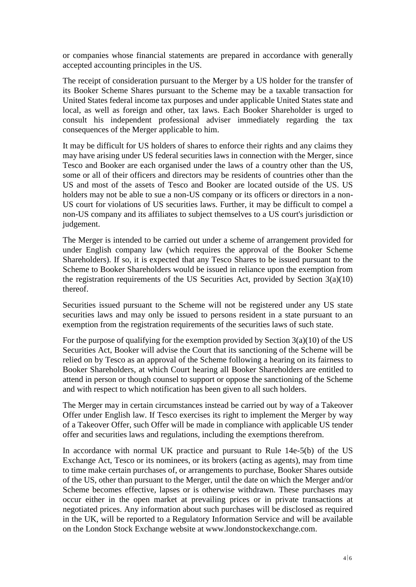or companies whose financial statements are prepared in accordance with generally accepted accounting principles in the US.

The receipt of consideration pursuant to the Merger by a US holder for the transfer of its Booker Scheme Shares pursuant to the Scheme may be a taxable transaction for United States federal income tax purposes and under applicable United States state and local, as well as foreign and other, tax laws. Each Booker Shareholder is urged to consult his independent professional adviser immediately regarding the tax consequences of the Merger applicable to him.

It may be difficult for US holders of shares to enforce their rights and any claims they may have arising under US federal securities laws in connection with the Merger, since Tesco and Booker are each organised under the laws of a country other than the US, some or all of their officers and directors may be residents of countries other than the US and most of the assets of Tesco and Booker are located outside of the US. US holders may not be able to sue a non-US company or its officers or directors in a non-US court for violations of US securities laws. Further, it may be difficult to compel a non-US company and its affiliates to subject themselves to a US court's jurisdiction or judgement.

The Merger is intended to be carried out under a scheme of arrangement provided for under English company law (which requires the approval of the Booker Scheme Shareholders). If so, it is expected that any Tesco Shares to be issued pursuant to the Scheme to Booker Shareholders would be issued in reliance upon the exemption from the registration requirements of the US Securities Act, provided by Section  $3(a)(10)$ thereof.

Securities issued pursuant to the Scheme will not be registered under any US state securities laws and may only be issued to persons resident in a state pursuant to an exemption from the registration requirements of the securities laws of such state.

For the purpose of qualifying for the exemption provided by Section 3(a)(10) of the US Securities Act, Booker will advise the Court that its sanctioning of the Scheme will be relied on by Tesco as an approval of the Scheme following a hearing on its fairness to Booker Shareholders, at which Court hearing all Booker Shareholders are entitled to attend in person or though counsel to support or oppose the sanctioning of the Scheme and with respect to which notification has been given to all such holders.

The Merger may in certain circumstances instead be carried out by way of a Takeover Offer under English law. If Tesco exercises its right to implement the Merger by way of a Takeover Offer, such Offer will be made in compliance with applicable US tender offer and securities laws and regulations, including the exemptions therefrom.

In accordance with normal UK practice and pursuant to Rule 14e-5(b) of the US Exchange Act, Tesco or its nominees, or its brokers (acting as agents), may from time to time make certain purchases of, or arrangements to purchase, Booker Shares outside of the US, other than pursuant to the Merger, until the date on which the Merger and/or Scheme becomes effective, lapses or is otherwise withdrawn. These purchases may occur either in the open market at prevailing prices or in private transactions at negotiated prices. Any information about such purchases will be disclosed as required in the UK, will be reported to a Regulatory Information Service and will be available on the London Stock Exchange website at www.londonstockexchange.com.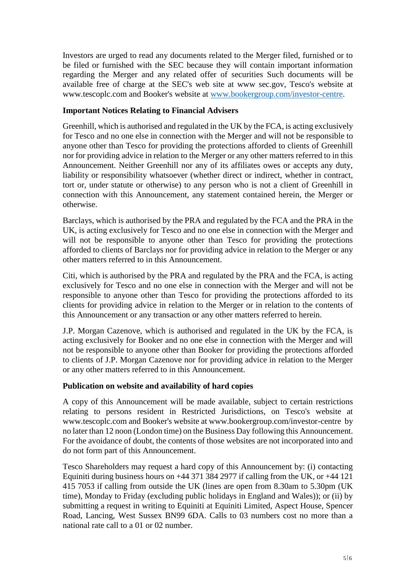Investors are urged to read any documents related to the Merger filed, furnished or to be filed or furnished with the SEC because they will contain important information regarding the Merger and any related offer of securities Such documents will be available free of charge at the SEC's web site at www sec.gov, Tesco's website at www.tescoplc.com and Booker's website at [www.bookergroup.com/investor-centre.](http://www.bookergroup.com/investor-centre)

# **Important Notices Relating to Financial Advisers**

Greenhill, which is authorised and regulated in the UK by the FCA, is acting exclusively for Tesco and no one else in connection with the Merger and will not be responsible to anyone other than Tesco for providing the protections afforded to clients of Greenhill nor for providing advice in relation to the Merger or any other matters referred to in this Announcement. Neither Greenhill nor any of its affiliates owes or accepts any duty, liability or responsibility whatsoever (whether direct or indirect, whether in contract, tort or, under statute or otherwise) to any person who is not a client of Greenhill in connection with this Announcement, any statement contained herein, the Merger or otherwise.

Barclays, which is authorised by the PRA and regulated by the FCA and the PRA in the UK, is acting exclusively for Tesco and no one else in connection with the Merger and will not be responsible to anyone other than Tesco for providing the protections afforded to clients of Barclays nor for providing advice in relation to the Merger or any other matters referred to in this Announcement.

Citi, which is authorised by the PRA and regulated by the PRA and the FCA, is acting exclusively for Tesco and no one else in connection with the Merger and will not be responsible to anyone other than Tesco for providing the protections afforded to its clients for providing advice in relation to the Merger or in relation to the contents of this Announcement or any transaction or any other matters referred to herein.

J.P. Morgan Cazenove, which is authorised and regulated in the UK by the FCA, is acting exclusively for Booker and no one else in connection with the Merger and will not be responsible to anyone other than Booker for providing the protections afforded to clients of J.P. Morgan Cazenove nor for providing advice in relation to the Merger or any other matters referred to in this Announcement.

## **Publication on website and availability of hard copies**

A copy of this Announcement will be made available, subject to certain restrictions relating to persons resident in Restricted Jurisdictions, on Tesco's website at www.tescoplc.com and Booker's website at www.bookergroup.com/investor-centre by no later than 12 noon (London time) on the Business Day following this Announcement. For the avoidance of doubt, the contents of those websites are not incorporated into and do not form part of this Announcement.

Tesco Shareholders may request a hard copy of this Announcement by: (i) contacting Equiniti during business hours on  $+44$  371 384 2977 if calling from the UK, or  $+44$  121 415 7053 if calling from outside the UK (lines are open from 8.30am to 5.30pm (UK time), Monday to Friday (excluding public holidays in England and Wales)); or (ii) by submitting a request in writing to Equiniti at Equiniti Limited, Aspect House, Spencer Road, Lancing, West Sussex BN99 6DA. Calls to 03 numbers cost no more than a national rate call to a 01 or 02 number.